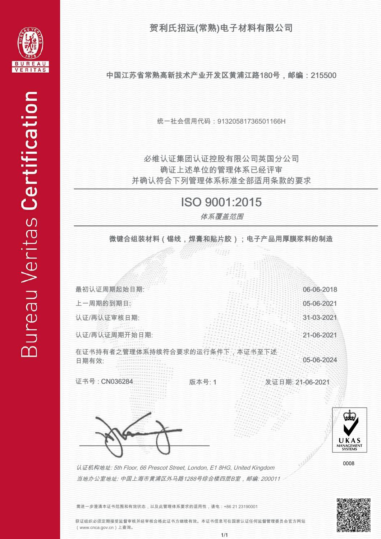贺利氏招远(常熟)电子材料有限公司



中国江苏省常熟高新技术产业开发区黄浦江路180号,邮编:215500

统一社会信用代码:91320581736501166H

并确认符合下列管理体系标准全部适用条款的要求 确证上述单位的管理体系已经评审 必维认证集团认证控股有限公司英国分公司

## ISO 9001:2015

体系覆盖范围

微键合组装材料(锡线,焊膏和贴片胶);电子产品用厚膜浆料的制造

Wata



需进一步澄清本证书范围和有效状态,以及此管理体系要求的适用性,请电:+86 21 23190001

获证组织必须定期接受监督审核并经审核合格此证书方继续有效。本证书信息可在国家认证任何监督管理委员会官方网站 (www.cnca.gov.cn)上查询。

j ļ j Í  $\frac{1}{2}$ j j